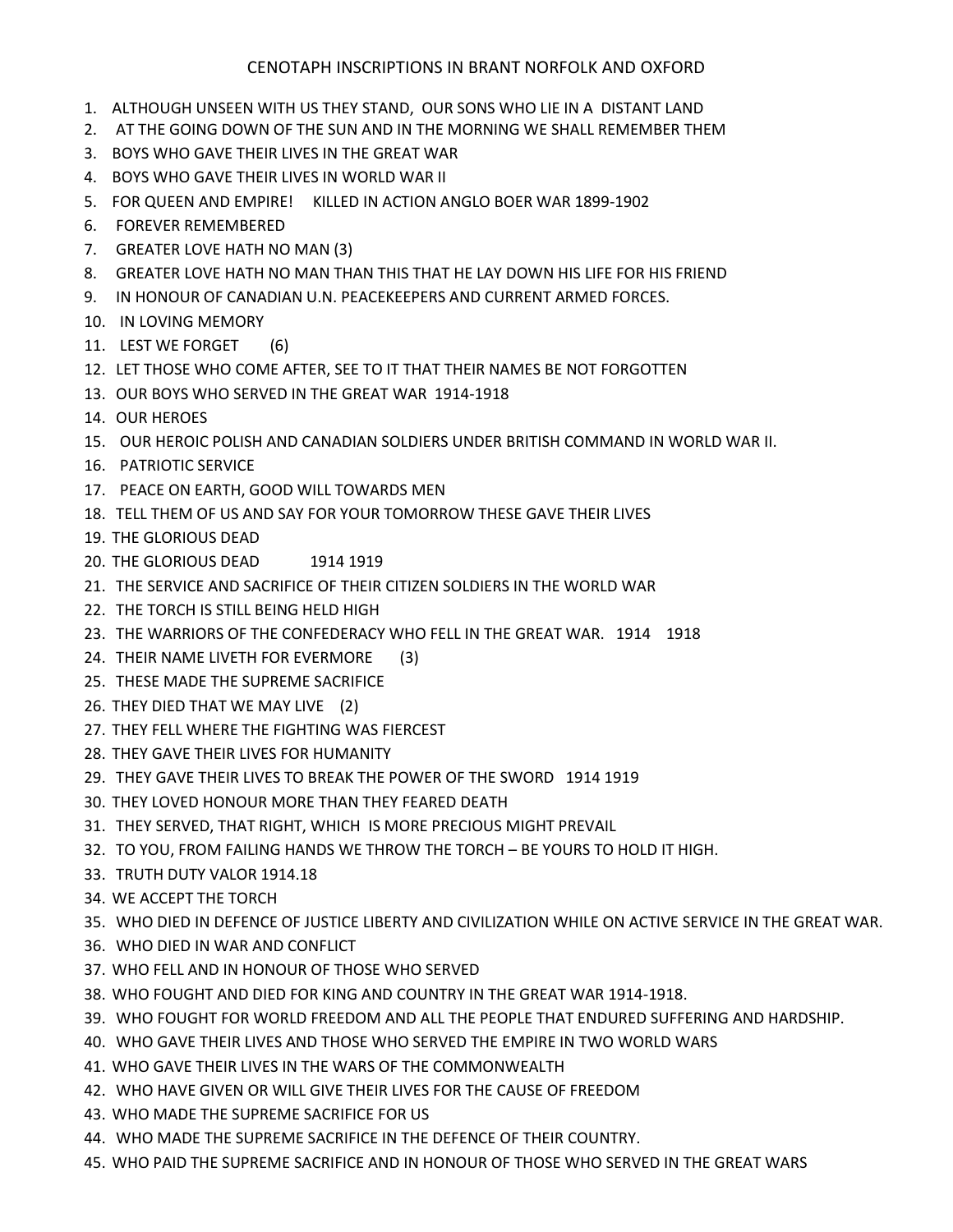## CENOTAPH INSCRIPTIONS IN BRANT NORFOLK AND OXFORD

- 1. ALTHOUGH UNSEEN WITH US THEY STAND, OUR SONS WHO LIE IN A DISTANT LAND
- 2. AT THE GOING DOWN OF THE SUN AND IN THE MORNING WE SHALL REMEMBER THEM
- 3. BOYS WHO GAVE THEIR LIVES IN THE GREAT WAR
- 4. BOYS WHO GAVE THEIR LIVES IN WORLD WAR II
- 5. FOR QUEEN AND EMPIRE! KILLED IN ACTION ANGLO BOER WAR 1899-1902
- 6. FOREVER REMEMBERED
- 7. GREATER LOVE HATH NO MAN (3)
- 8. GREATER LOVE HATH NO MAN THAN THIS THAT HE LAY DOWN HIS LIFE FOR HIS FRIEND
- 9. IN HONOUR OF CANADIAN U.N. PEACEKEEPERS AND CURRENT ARMED FORCES.
- 10. IN LOVING MEMORY
- 11. LEST WE FORGET (6)
- 12. LET THOSE WHO COME AFTER, SEE TO IT THAT THEIR NAMES BE NOT FORGOTTEN
- 13. OUR BOYS WHO SERVED IN THE GREAT WAR 1914-1918
- 14. OUR HEROES
- 15. OUR HEROIC POLISH AND CANADIAN SOLDIERS UNDER BRITISH COMMAND IN WORLD WAR II.
- 16. PATRIOTIC SERVICE
- 17. PEACE ON EARTH, GOOD WILL TOWARDS MEN
- 18. TELL THEM OF US AND SAY FOR YOUR TOMORROW THESE GAVE THEIR LIVES
- 19. THE GLORIOUS DEAD
- 20. THE GLORIOUS DEAD 1914 1919
- 21. THE SERVICE AND SACRIFICE OF THEIR CITIZEN SOLDIERS IN THE WORLD WAR
- 22. THE TORCH IS STILL BEING HELD HIGH
- 23. THE WARRIORS OF THE CONFEDERACY WHO FELL IN THE GREAT WAR. 1914 1918
- 24. THEIR NAME LIVETH FOR EVERMORE (3)
- 25. THESE MADE THE SUPREME SACRIFICE
- 26. THEY DIED THAT WE MAY LIVE (2)
- 27. THEY FELL WHERE THE FIGHTING WAS FIERCEST
- 28. THEY GAVE THEIR LIVES FOR HUMANITY
- 29. THEY GAVE THEIR LIVES TO BREAK THE POWER OF THE SWORD 1914 1919
- 30. THEY LOVED HONOUR MORE THAN THEY FEARED DEATH
- 31. THEY SERVED, THAT RIGHT, WHICH IS MORE PRECIOUS MIGHT PREVAIL
- 32. TO YOU, FROM FAILING HANDS WE THROW THE TORCH BE YOURS TO HOLD IT HIGH.
- 33. TRUTH DUTY VALOR 1914.18
- 34. WE ACCEPT THE TORCH
- 35. WHO DIED IN DEFENCE OF JUSTICE LIBERTY AND CIVILIZATION WHILE ON ACTIVE SERVICE IN THE GREAT WAR.
- 36. WHO DIED IN WAR AND CONFLICT
- 37. WHO FELL AND IN HONOUR OF THOSE WHO SERVED
- 38. WHO FOUGHT AND DIED FOR KING AND COUNTRY IN THE GREAT WAR 1914-1918.
- 39. WHO FOUGHT FOR WORLD FREEDOM AND ALL THE PEOPLE THAT ENDURED SUFFERING AND HARDSHIP.
- 40. WHO GAVE THEIR LIVES AND THOSE WHO SERVED THE EMPIRE IN TWO WORLD WARS
- 41. WHO GAVE THEIR LIVES IN THE WARS OF THE COMMONWEALTH
- 42. WHO HAVE GIVEN OR WILL GIVE THEIR LIVES FOR THE CAUSE OF FREEDOM
- 43. WHO MADE THE SUPREME SACRIFICE FOR US
- 44. WHO MADE THE SUPREME SACRIFICE IN THE DEFENCE OF THEIR COUNTRY.
- 45. WHO PAID THE SUPREME SACRIFICE AND IN HONOUR OF THOSE WHO SERVED IN THE GREAT WARS